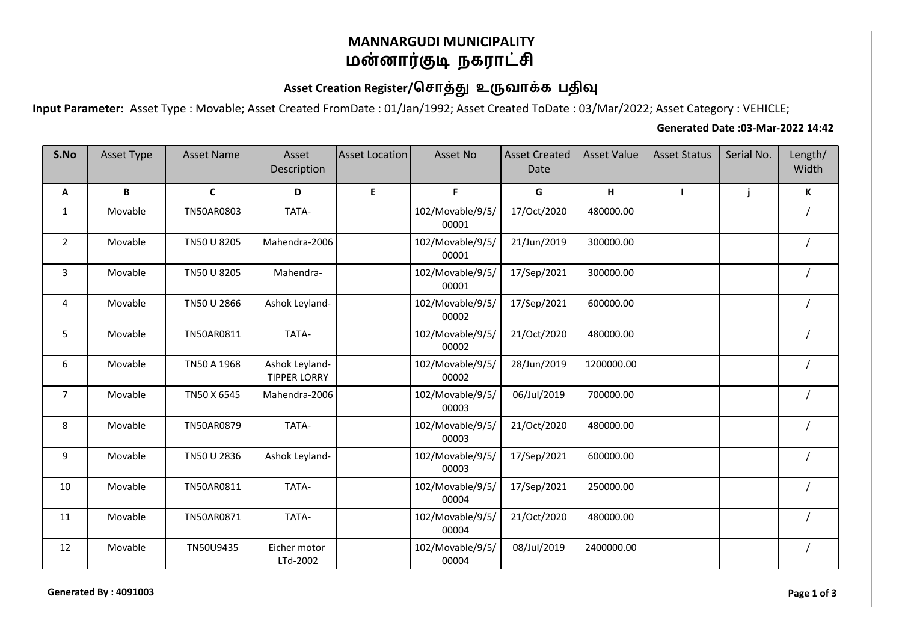### **MANNARGUDI MUNICIPALITY** மன்னார்குடி நகராட்சி

## Asset Creation Register/சொத்து உருவாக்க பதிவு

**Input Parameter:** Asset Type : Movable; Asset Created FromDate : 01/Jan/1992; Asset Created ToDate : 03/Mar/2022; Asset Category : VEHICLE;

#### **Generated Date :03-Mar-2022 14:42**

| S.No           | Asset Type | <b>Asset Name</b> | Asset<br>Description                  | <b>Asset Location</b> | Asset No                  | <b>Asset Created</b><br>Date | <b>Asset Value</b> | <b>Asset Status</b> | Serial No. | Length/<br>Width |
|----------------|------------|-------------------|---------------------------------------|-----------------------|---------------------------|------------------------------|--------------------|---------------------|------------|------------------|
| Α              | B          | $\mathbf C$       | D                                     | E                     | F                         | G                            | H                  | $\mathbf{I}$        | j          | K                |
| $\mathbf{1}$   | Movable    | TN50AR0803        | TATA-                                 |                       | 102/Movable/9/5/<br>00001 | 17/Oct/2020                  | 480000.00          |                     |            |                  |
| $\overline{2}$ | Movable    | TN50 U 8205       | Mahendra-2006                         |                       | 102/Movable/9/5/<br>00001 | 21/Jun/2019                  | 300000.00          |                     |            |                  |
| 3              | Movable    | TN50 U 8205       | Mahendra-                             |                       | 102/Movable/9/5/<br>00001 | 17/Sep/2021                  | 300000.00          |                     |            |                  |
| 4              | Movable    | TN50 U 2866       | Ashok Leyland-                        |                       | 102/Movable/9/5/<br>00002 | 17/Sep/2021                  | 600000.00          |                     |            |                  |
| 5              | Movable    | TN50AR0811        | TATA-                                 |                       | 102/Movable/9/5/<br>00002 | 21/Oct/2020                  | 480000.00          |                     |            |                  |
| 6              | Movable    | TN50 A 1968       | Ashok Leyland-<br><b>TIPPER LORRY</b> |                       | 102/Movable/9/5/<br>00002 | 28/Jun/2019                  | 1200000.00         |                     |            |                  |
| $\overline{7}$ | Movable    | TN50 X 6545       | Mahendra-2006                         |                       | 102/Movable/9/5/<br>00003 | 06/Jul/2019                  | 700000.00          |                     |            |                  |
| 8              | Movable    | TN50AR0879        | TATA-                                 |                       | 102/Movable/9/5/<br>00003 | 21/Oct/2020                  | 480000.00          |                     |            |                  |
| 9              | Movable    | TN50 U 2836       | Ashok Leyland-                        |                       | 102/Movable/9/5/<br>00003 | 17/Sep/2021                  | 600000.00          |                     |            |                  |
| 10             | Movable    | TN50AR0811        | TATA-                                 |                       | 102/Movable/9/5/<br>00004 | 17/Sep/2021                  | 250000.00          |                     |            |                  |
| 11             | Movable    | TN50AR0871        | TATA-                                 |                       | 102/Movable/9/5/<br>00004 | 21/Oct/2020                  | 480000.00          |                     |            |                  |
| 12             | Movable    | TN50U9435         | Eicher motor<br>LTd-2002              |                       | 102/Movable/9/5/<br>00004 | 08/Jul/2019                  | 2400000.00         |                     |            |                  |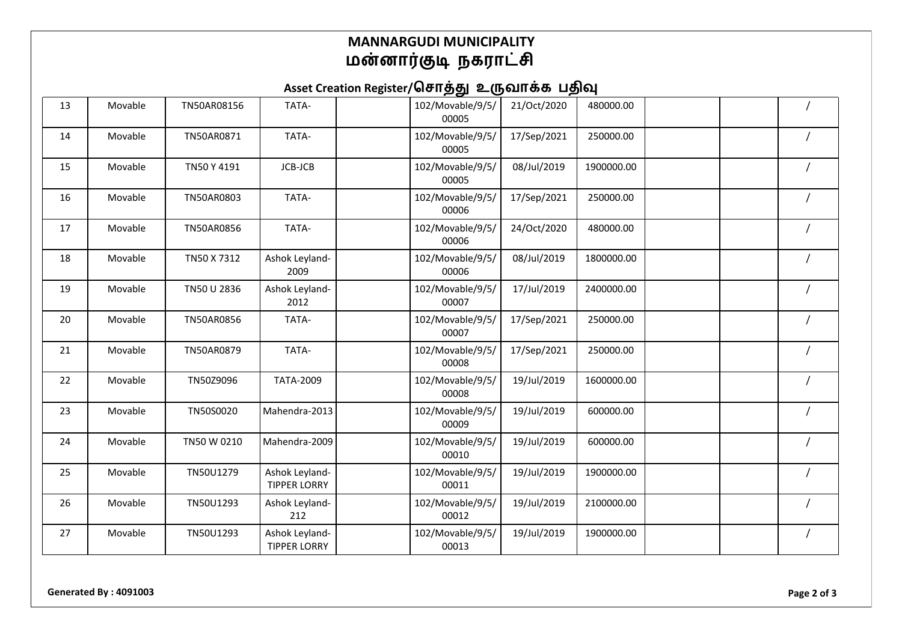### **MANNARGUDI MUNICIPALITY** மன்னார்குடி நகராட்சி

# Asset Creation Register/சொத்து உருவாக்க பதிவு

| 13 | Movable | TN50AR08156 | TATA-                                 | 102/Movable/9/5/<br>00005 | 21/Oct/2020 | 480000.00  |  |  |
|----|---------|-------------|---------------------------------------|---------------------------|-------------|------------|--|--|
| 14 | Movable | TN50AR0871  | TATA-                                 | 102/Movable/9/5/<br>00005 | 17/Sep/2021 | 250000.00  |  |  |
| 15 | Movable | TN50 Y 4191 | JCB-JCB                               | 102/Movable/9/5/<br>00005 | 08/Jul/2019 | 1900000.00 |  |  |
| 16 | Movable | TN50AR0803  | TATA-                                 | 102/Movable/9/5/<br>00006 | 17/Sep/2021 | 250000.00  |  |  |
| 17 | Movable | TN50AR0856  | TATA-                                 | 102/Movable/9/5/<br>00006 | 24/Oct/2020 | 480000.00  |  |  |
| 18 | Movable | TN50 X 7312 | Ashok Leyland-<br>2009                | 102/Movable/9/5/<br>00006 | 08/Jul/2019 | 1800000.00 |  |  |
| 19 | Movable | TN50 U 2836 | Ashok Leyland-<br>2012                | 102/Movable/9/5/<br>00007 | 17/Jul/2019 | 2400000.00 |  |  |
| 20 | Movable | TN50AR0856  | TATA-                                 | 102/Movable/9/5/<br>00007 | 17/Sep/2021 | 250000.00  |  |  |
| 21 | Movable | TN50AR0879  | TATA-                                 | 102/Movable/9/5/<br>00008 | 17/Sep/2021 | 250000.00  |  |  |
| 22 | Movable | TN50Z9096   | TATA-2009                             | 102/Movable/9/5/<br>00008 | 19/Jul/2019 | 1600000.00 |  |  |
| 23 | Movable | TN50S0020   | Mahendra-2013                         | 102/Movable/9/5/<br>00009 | 19/Jul/2019 | 600000.00  |  |  |
| 24 | Movable | TN50 W 0210 | Mahendra-2009                         | 102/Movable/9/5/<br>00010 | 19/Jul/2019 | 600000.00  |  |  |
| 25 | Movable | TN50U1279   | Ashok Leyland-<br><b>TIPPER LORRY</b> | 102/Movable/9/5/<br>00011 | 19/Jul/2019 | 1900000.00 |  |  |
| 26 | Movable | TN50U1293   | Ashok Leyland-<br>212                 | 102/Movable/9/5/<br>00012 | 19/Jul/2019 | 2100000.00 |  |  |
| 27 | Movable | TN50U1293   | Ashok Leyland-<br><b>TIPPER LORRY</b> | 102/Movable/9/5/<br>00013 | 19/Jul/2019 | 1900000.00 |  |  |